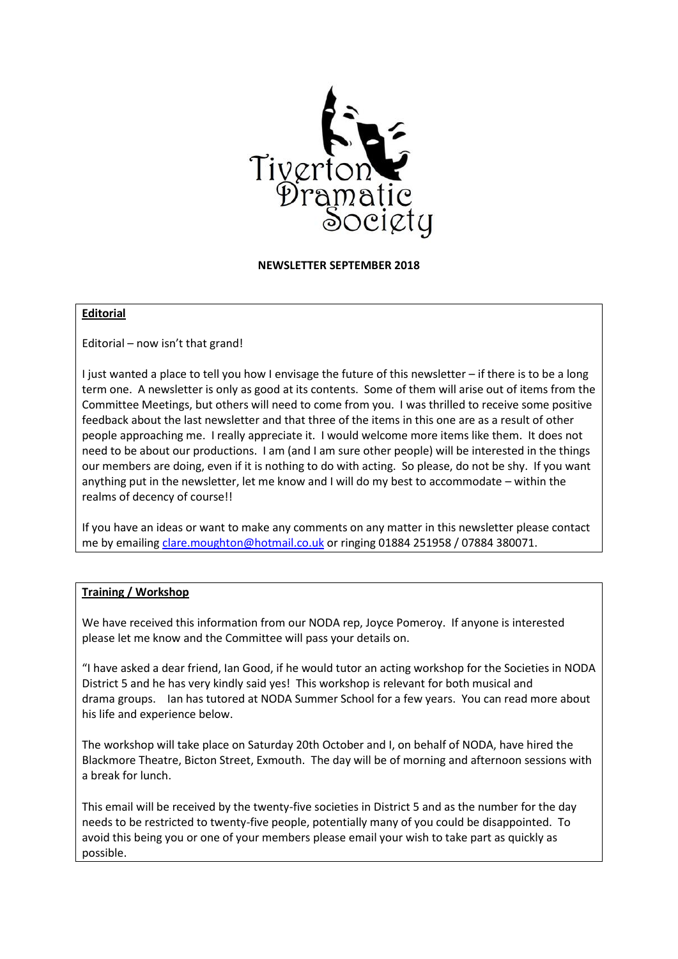

**NEWSLETTER SEPTEMBER 2018**

## **Editorial**

Editorial – now isn't that grand!

I just wanted a place to tell you how I envisage the future of this newsletter – if there is to be a long term one. A newsletter is only as good at its contents. Some of them will arise out of items from the Committee Meetings, but others will need to come from you. I was thrilled to receive some positive feedback about the last newsletter and that three of the items in this one are as a result of other people approaching me. I really appreciate it. I would welcome more items like them. It does not need to be about our productions. I am (and I am sure other people) will be interested in the things our members are doing, even if it is nothing to do with acting. So please, do not be shy. If you want anything put in the newsletter, let me know and I will do my best to accommodate – within the realms of decency of course!!

If you have an ideas or want to make any comments on any matter in this newsletter please contact me by emailin[g clare.moughton@hotmail.co.uk](mailto:clare.moughton@hotmail.co.uk) or ringing 01884 251958 / 07884 380071.

## **Training / Workshop**

We have received this information from our NODA rep, Joyce Pomeroy. If anyone is interested please let me know and the Committee will pass your details on.

"I have asked a dear friend, Ian Good, if he would tutor an acting workshop for the Societies in NODA District 5 and he has very kindly said yes! This workshop is relevant for both musical and drama groups. Ian has tutored at NODA Summer School for a few years. You can read more about his life and experience below.

The workshop will take place on Saturday 20th October and I, on behalf of NODA, have hired the Blackmore Theatre, Bicton Street, Exmouth. The day will be of morning and afternoon sessions with a break for lunch.

This email will be received by the twenty-five societies in District 5 and as the number for the day needs to be restricted to twenty-five people, potentially many of you could be disappointed. To avoid this being you or one of your members please email your wish to take part as quickly as possible.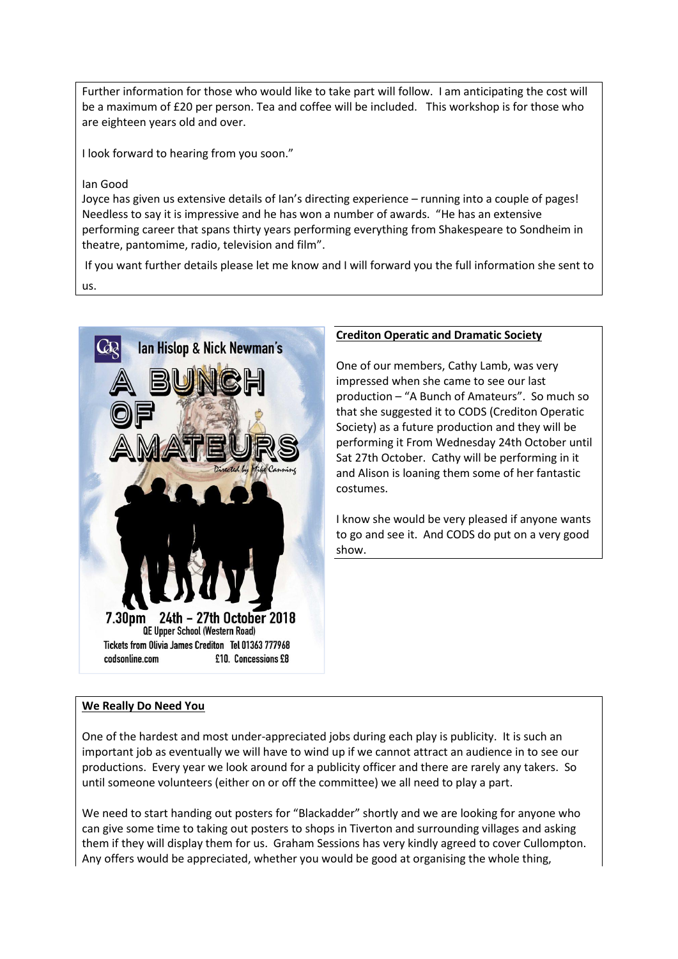Further information for those who would like to take part will follow. I am anticipating the cost will be a maximum of £20 per person. Tea and coffee will be included. This workshop is for those who are eighteen years old and over.

I look forward to hearing from you soon."

## Ian Good

Joyce has given us extensive details of Ian's directing experience – running into a couple of pages! Needless to say it is impressive and he has won a number of awards. "He has an extensive performing career that spans thirty years performing everything from Shakespeare to Sondheim in theatre, pantomime, radio, television and film".

If you want further details please let me know and I will forward you the full information she sent to us.



## **Crediton Operatic and Dramatic Society**

One of our members, Cathy Lamb, was very impressed when she came to see our last production – "A Bunch of Amateurs". So much so that she suggested it to CODS (Crediton Operatic Society) as a future production and they will be performing it From Wednesday 24th October until Sat 27th October. Cathy will be performing in it and Alison is loaning them some of her fantastic costumes.

I know she would be very pleased if anyone wants to go and see it. And CODS do put on a very good show.

# **We Really Do Need You**

One of the hardest and most under-appreciated jobs during each play is publicity. It is such an important job as eventually we will have to wind up if we cannot attract an audience in to see our productions. Every year we look around for a publicity officer and there are rarely any takers. So until someone volunteers (either on or off the committee) we all need to play a part.

We need to start handing out posters for "Blackadder" shortly and we are looking for anyone who can give some time to taking out posters to shops in Tiverton and surrounding villages and asking them if they will display them for us. Graham Sessions has very kindly agreed to cover Cullompton. Any offers would be appreciated, whether you would be good at organising the whole thing,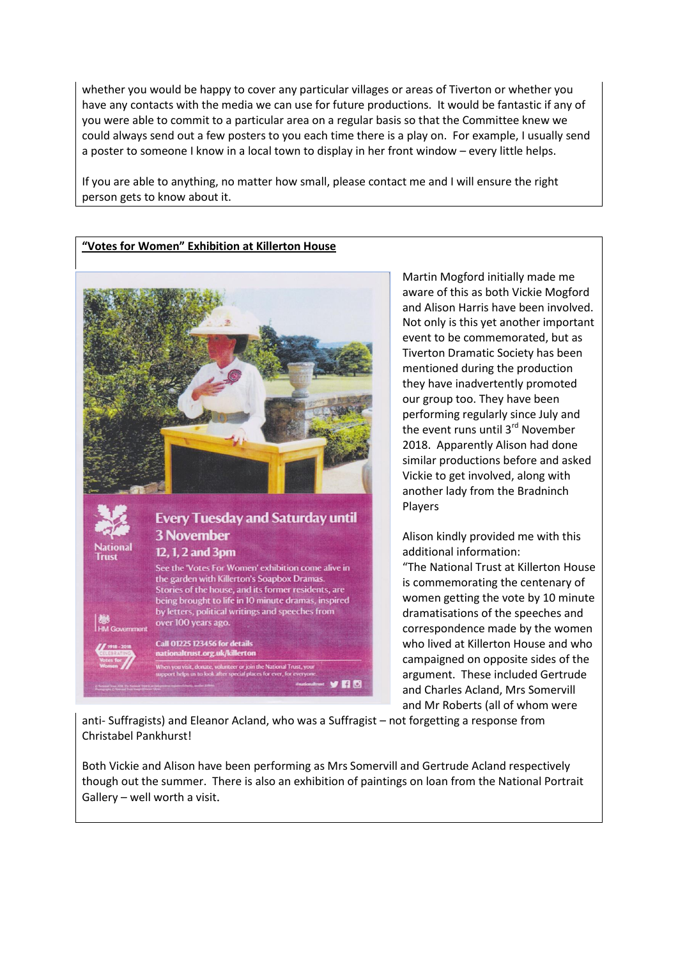whether you would be happy to cover any particular villages or areas of Tiverton or whether you have any contacts with the media we can use for future productions. It would be fantastic if any of you were able to commit to a particular area on a regular basis so that the Committee knew we could always send out a few posters to you each time there is a play on. For example, I usually send a poster to someone I know in a local town to display in her front window – every little helps.

If you are able to anything, no matter how small, please contact me and I will ensure the right person gets to know about it.

## **"Votes for Women" Exhibition at Killerton House**



Martin Mogford initially made me aware of this as both Vickie Mogford and Alison Harris have been involved. Not only is this yet another important event to be commemorated, but as Tiverton Dramatic Society has been mentioned during the production they have inadvertently promoted our group too. They have been performing regularly since July and the event runs until 3<sup>rd</sup> November 2018. Apparently Alison had done similar productions before and asked Vickie to get involved, along with another lady from the Bradninch Players

Alison kindly provided me with this additional information:

"The National Trust at Killerton House is commemorating the centenary of women getting the vote by 10 minute dramatisations of the speeches and correspondence made by the women who lived at Killerton House and who campaigned on opposite sides of the argument. These included Gertrude and Charles Acland, Mrs Somervill and Mr Roberts (all of whom were

anti- Suffragists) and Eleanor Acland, who was a Suffragist – not forgetting a response from Christabel Pankhurst!

Both Vickie and Alison have been performing as Mrs Somervill and Gertrude Acland respectively though out the summer. There is also an exhibition of paintings on loan from the National Portrait Gallery – well worth a visit.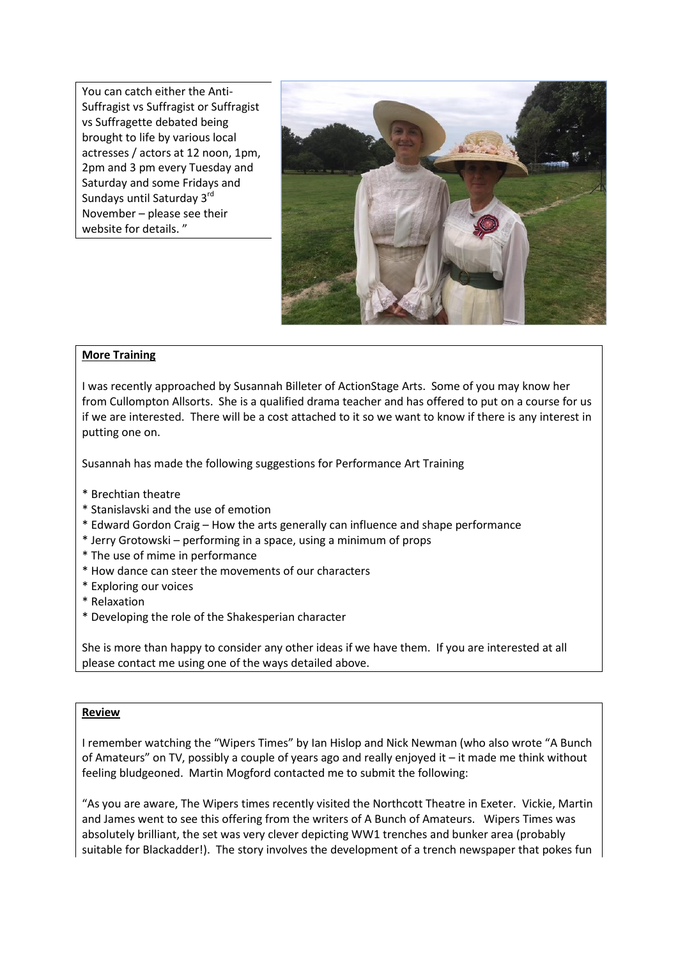You can catch either the Anti-Suffragist vs Suffragist or Suffragist vs Suffragette debated being brought to life by various local actresses / actors at 12 noon, 1pm, 2pm and 3 pm every Tuesday and Saturday and some Fridays and Sundays until Saturday 3rd November – please see their website for details. "



## **More Training**

I was recently approached by Susannah Billeter of ActionStage Arts. Some of you may know her from Cullompton Allsorts. She is a qualified drama teacher and has offered to put on a course for us if we are interested. There will be a cost attached to it so we want to know if there is any interest in putting one on.

Susannah has made the following suggestions for Performance Art Training

- \* Brechtian theatre
- \* Stanislavski and the use of emotion
- \* Edward Gordon Craig How the arts generally can influence and shape performance
- \* Jerry Grotowski performing in a space, using a minimum of props
- \* The use of mime in performance
- \* How dance can steer the movements of our characters
- \* Exploring our voices
- \* Relaxation
- \* Developing the role of the Shakesperian character

She is more than happy to consider any other ideas if we have them. If you are interested at all please contact me using one of the ways detailed above.

## **Review**

I remember watching the "Wipers Times" by Ian Hislop and Nick Newman (who also wrote "A Bunch of Amateurs" on TV, possibly a couple of years ago and really enjoyed it – it made me think without feeling bludgeoned. Martin Mogford contacted me to submit the following:

"As you are aware, The Wipers times recently visited the Northcott Theatre in Exeter. Vickie, Martin and James went to see this offering from the writers of A Bunch of Amateurs. Wipers Times was absolutely brilliant, the set was very clever depicting WW1 trenches and bunker area (probably suitable for Blackadder!). The story involves the development of a trench newspaper that pokes fun